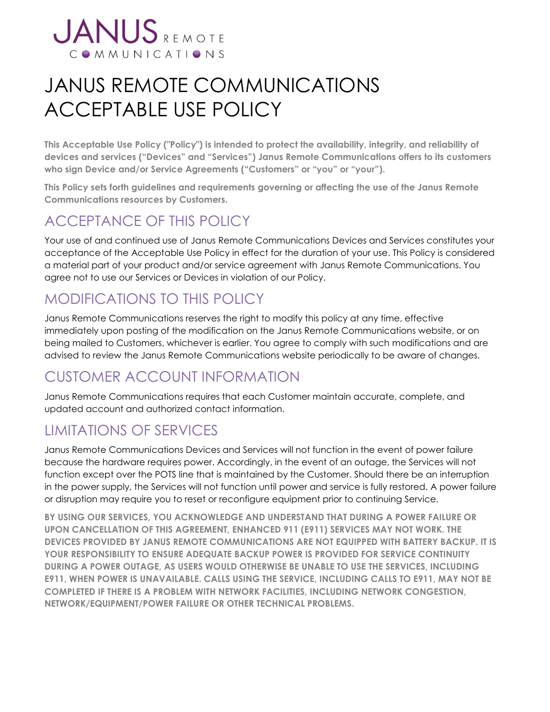

# JANUS REMOTE COMMUNICATIONS ACCEPTABLE USE POLICY

**This Acceptable Use Policy ("Policy") is intended to protect the availability, integrity, and reliability of devices and services ("Devices" and "Services") Janus Remote Communications offers to its customers who sign Device and/or Service Agreements ("Customers" or "you" or "your").** 

**This Policy sets forth guidelines and requirements governing or affecting the use of the Janus Remote Communications resources by Customers.** 

## ACCEPTANCE OF THIS POLICY

Your use of and continued use of Janus Remote Communications Devices and Services constitutes your acceptance of the Acceptable Use Policy in effect for the duration of your use. This Policy is considered a material part of your product and/or service agreement with Janus Remote Communications. You agree not to use our Services or Devices in violation of our Policy.

# MODIFICATIONS TO THIS POLICY

Janus Remote Communications reserves the right to modify this policy at any time, effective immediately upon posting of the modification on the Janus Remote Communications website, or on being mailed to Customers, whichever is earlier. You agree to comply with such modifications and are advised to review the Janus Remote Communications website periodically to be aware of changes.

# CUSTOMER ACCOUNT INFORMATION

Janus Remote Communications requires that each Customer maintain accurate, complete, and updated account and authorized contact information.

# LIMITATIONS OF SERVICES

Janus Remote Communications Devices and Services will not function in the event of power failure because the hardware requires power. Accordingly, in the event of an outage, the Services will not function except over the POTS line that is maintained by the Customer. Should there be an interruption in the power supply, the Services will not function until power and service is fully restored. A power failure or disruption may require you to reset or reconfigure equipment prior to continuing Service.

**BY USING OUR SERVICES, YOU ACKNOWLEDGE AND UNDERSTAND THAT DURING A POWER FAILURE OR UPON CANCELLATION OF THIS AGREEMENT, ENHANCED 911 (E911) SERVICES MAY NOT WORK. THE DEVICES PROVIDED BY JANUS REMOTE COMMUNICATIONS ARE NOT EQUIPPED WITH BATTERY BACKUP. IT IS YOUR RESPONSIBILITY TO ENSURE ADEQUATE BACKUP POWER IS PROVIDED FOR SERVICE CONTINUITY DURING A POWER OUTAGE, AS USERS WOULD OTHERWISE BE UNABLE TO USE THE SERVICES, INCLUDING E911, WHEN POWER IS UNAVAILABLE. CALLS USING THE SERVICE, INCLUDING CALLS TO E911, MAY NOT BE COMPLETED IF THERE IS A PROBLEM WITH NETWORK FACILITIES, INCLUDING NETWORK CONGESTION, NETWORK/EQUIPMENT/POWER FAILURE OR OTHER TECHNICAL PROBLEMS.**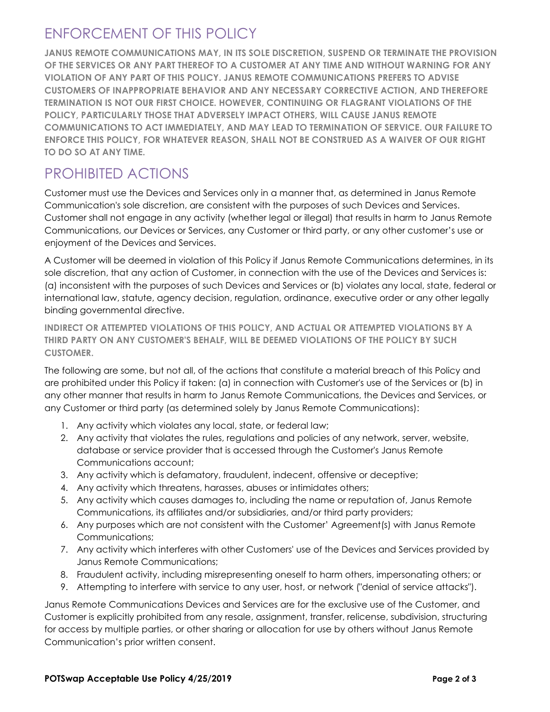# ENFORCEMENT OF THIS POLICY

**JANUS REMOTE COMMUNICATIONS MAY, IN ITS SOLE DISCRETION, SUSPEND OR TERMINATE THE PROVISION OF THE SERVICES OR ANY PART THEREOF TO A CUSTOMER AT ANY TIME AND WITHOUT WARNING FOR ANY VIOLATION OF ANY PART OF THIS POLICY. JANUS REMOTE COMMUNICATIONS PREFERS TO ADVISE CUSTOMERS OF INAPPROPRIATE BEHAVIOR AND ANY NECESSARY CORRECTIVE ACTION, AND THEREFORE TERMINATION IS NOT OUR FIRST CHOICE. HOWEVER, CONTINUING OR FLAGRANT VIOLATIONS OF THE POLICY, PARTICULARLY THOSE THAT ADVERSELY IMPACT OTHERS, WILL CAUSE JANUS REMOTE COMMUNICATIONS TO ACT IMMEDIATELY, AND MAY LEAD TO TERMINATION OF SERVICE. OUR FAILURE TO ENFORCE THIS POLICY, FOR WHATEVER REASON, SHALL NOT BE CONSTRUED AS A WAIVER OF OUR RIGHT TO DO SO AT ANY TIME.** 

## PROHIBITED ACTIONS

Customer must use the Devices and Services only in a manner that, as determined in Janus Remote Communication's sole discretion, are consistent with the purposes of such Devices and Services. Customer shall not engage in any activity (whether legal or illegal) that results in harm to Janus Remote Communications, our Devices or Services, any Customer or third party, or any other customer's use or enjoyment of the Devices and Services.

A Customer will be deemed in violation of this Policy if Janus Remote Communications determines, in its sole discretion, that any action of Customer, in connection with the use of the Devices and Services is: (a) inconsistent with the purposes of such Devices and Services or (b) violates any local, state, federal or international law, statute, agency decision, regulation, ordinance, executive order or any other legally binding governmental directive.

**INDIRECT OR ATTEMPTED VIOLATIONS OF THIS POLICY, AND ACTUAL OR ATTEMPTED VIOLATIONS BY A THIRD PARTY ON ANY CUSTOMER'S BEHALF, WILL BE DEEMED VIOLATIONS OF THE POLICY BY SUCH CUSTOMER.** 

The following are some, but not all, of the actions that constitute a material breach of this Policy and are prohibited under this Policy if taken: (a) in connection with Customer's use of the Services or (b) in any other manner that results in harm to Janus Remote Communications, the Devices and Services, or any Customer or third party (as determined solely by Janus Remote Communications):

- 1. Any activity which violates any local, state, or federal law;
- 2. Any activity that violates the rules, regulations and policies of any network, server, website, database or service provider that is accessed through the Customer's Janus Remote Communications account;
- 3. Any activity which is defamatory, fraudulent, indecent, offensive or deceptive;
- 4. Any activity which threatens, harasses, abuses or intimidates others;
- 5. Any activity which causes damages to, including the name or reputation of, Janus Remote Communications, its affiliates and/or subsidiaries, and/or third party providers;
- 6. Any purposes which are not consistent with the Customer' Agreement(s) with Janus Remote Communications;
- 7. Any activity which interferes with other Customers' use of the Devices and Services provided by Janus Remote Communications;
- 8. Fraudulent activity, including misrepresenting oneself to harm others, impersonating others; or
- 9. Attempting to interfere with service to any user, host, or network ("denial of service attacks").

Janus Remote Communications Devices and Services are for the exclusive use of the Customer, and Customer is explicitly prohibited from any resale, assignment, transfer, relicense, subdivision, structuring for access by multiple parties, or other sharing or allocation for use by others without Janus Remote Communication's prior written consent.